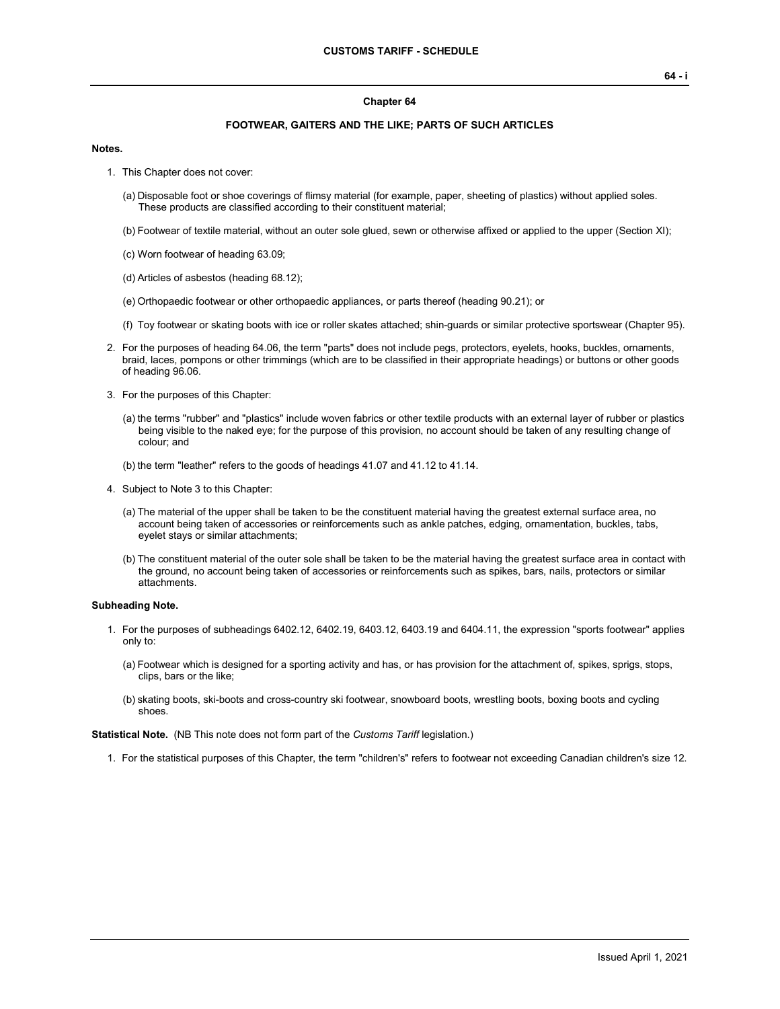## **Chapter 64**

## **FOOTWEAR, GAITERS AND THE LIKE; PARTS OF SUCH ARTICLES**

## **Notes.**

- 1. This Chapter does not cover:
	- (a) Disposable foot or shoe coverings of flimsy material (for example, paper, sheeting of plastics) without applied soles. These products are classified according to their constituent material;
	- (b) Footwear of textile material, without an outer sole glued, sewn or otherwise affixed or applied to the upper (Section XI);
	- (c) Worn footwear of heading 63.09;
	- (d) Articles of asbestos (heading 68.12);
	- (e) Orthopaedic footwear or other orthopaedic appliances, or parts thereof (heading 90.21); or
	- (f) Toy footwear or skating boots with ice or roller skates attached; shin-guards or similar protective sportswear (Chapter 95).
- 2. For the purposes of heading 64.06, the term "parts" does not include pegs, protectors, eyelets, hooks, buckles, ornaments, braid, laces, pompons or other trimmings (which are to be classified in their appropriate headings) or buttons or other goods of heading 96.06.
- 3. For the purposes of this Chapter:
	- (a) the terms "rubber" and "plastics" include woven fabrics or other textile products with an external layer of rubber or plastics being visible to the naked eye; for the purpose of this provision, no account should be taken of any resulting change of colour; and
	- (b) the term "leather" refers to the goods of headings 41.07 and 41.12 to 41.14.
- 4. Subject to Note 3 to this Chapter:
	- (a) The material of the upper shall be taken to be the constituent material having the greatest external surface area, no account being taken of accessories or reinforcements such as ankle patches, edging, ornamentation, buckles, tabs, eyelet stays or similar attachments;
	- (b) The constituent material of the outer sole shall be taken to be the material having the greatest surface area in contact with the ground, no account being taken of accessories or reinforcements such as spikes, bars, nails, protectors or similar attachments.

## **Subheading Note.**

- 1. For the purposes of subheadings 6402.12, 6402.19, 6403.12, 6403.19 and 6404.11, the expression "sports footwear" applies only to:
	- (a) Footwear which is designed for a sporting activity and has, or has provision for the attachment of, spikes, sprigs, stops, clips, bars or the like;
	- (b) skating boots, ski-boots and cross-country ski footwear, snowboard boots, wrestling boots, boxing boots and cycling shoes.

**Statistical Note.** (NB This note does not form part of the *Customs Tariff* legislation.)

1. For the statistical purposes of this Chapter, the term "children's" refers to footwear not exceeding Canadian children's size 12.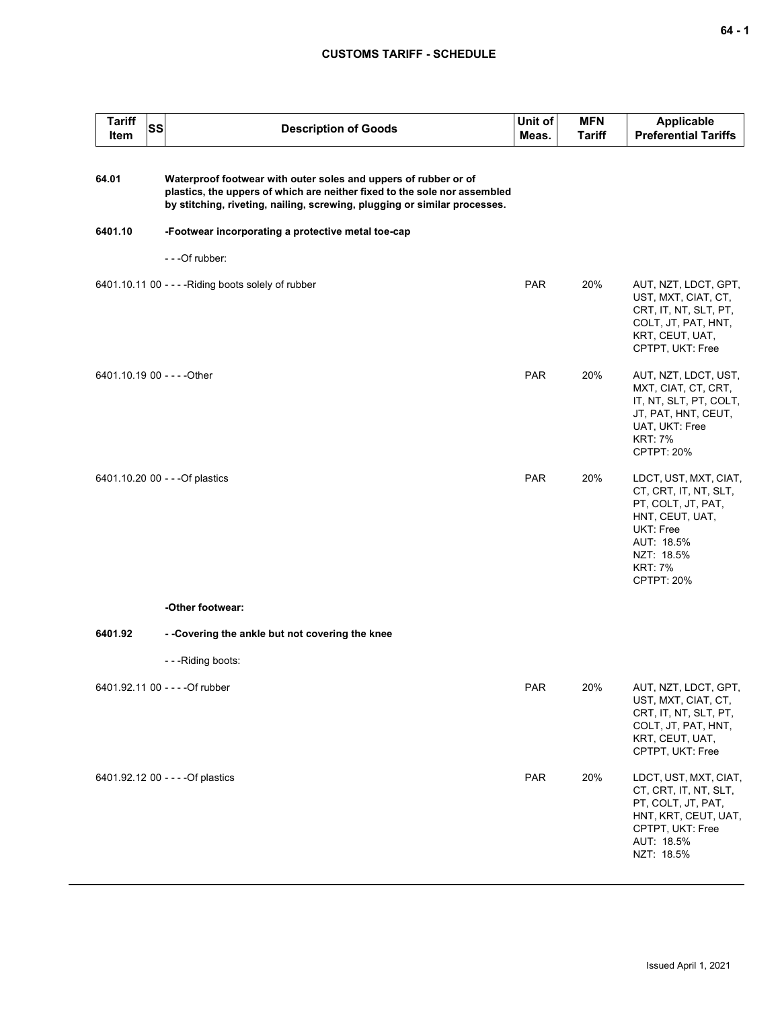| <b>Tariff</b><br>Item | SS | <b>Description of Goods</b>                                                                                                                                                                                               | Unit of<br>Meas. | <b>MFN</b><br><b>Tariff</b> | <b>Applicable</b><br><b>Preferential Tariffs</b>                                                                                                                        |
|-----------------------|----|---------------------------------------------------------------------------------------------------------------------------------------------------------------------------------------------------------------------------|------------------|-----------------------------|-------------------------------------------------------------------------------------------------------------------------------------------------------------------------|
| 64.01                 |    | Waterproof footwear with outer soles and uppers of rubber or of<br>plastics, the uppers of which are neither fixed to the sole nor assembled<br>by stitching, riveting, nailing, screwing, plugging or similar processes. |                  |                             |                                                                                                                                                                         |
| 6401.10               |    | -Footwear incorporating a protective metal toe-cap                                                                                                                                                                        |                  |                             |                                                                                                                                                                         |
|                       |    | - - - Of rubber:                                                                                                                                                                                                          |                  |                             |                                                                                                                                                                         |
|                       |    | 6401.10.11 00 - - - - Riding boots solely of rubber                                                                                                                                                                       | <b>PAR</b>       | 20%                         | AUT, NZT, LDCT, GPT,<br>UST, MXT, CIAT, CT,<br>CRT, IT, NT, SLT, PT,<br>COLT, JT, PAT, HNT,<br>KRT, CEUT, UAT,<br>CPTPT, UKT: Free                                      |
|                       |    | 6401.10.19 00 - - - - Other                                                                                                                                                                                               | <b>PAR</b>       | 20%                         | AUT, NZT, LDCT, UST,<br>MXT, CIAT, CT, CRT,<br>IT, NT, SLT, PT, COLT,<br>JT, PAT, HNT, CEUT,<br>UAT, UKT: Free<br><b>KRT: 7%</b><br>CPTPT: 20%                          |
|                       |    | 6401.10.20 00 - - - Of plastics                                                                                                                                                                                           | <b>PAR</b>       | 20%                         | LDCT, UST, MXT, CIAT,<br>CT, CRT, IT, NT, SLT,<br>PT, COLT, JT, PAT,<br>HNT, CEUT, UAT,<br>UKT: Free<br>AUT: 18.5%<br>NZT: 18.5%<br><b>KRT: 7%</b><br><b>CPTPT: 20%</b> |
|                       |    | -Other footwear:                                                                                                                                                                                                          |                  |                             |                                                                                                                                                                         |
| 6401.92               |    | - -Covering the ankle but not covering the knee                                                                                                                                                                           |                  |                             |                                                                                                                                                                         |
|                       |    | - - - Riding boots:                                                                                                                                                                                                       |                  |                             |                                                                                                                                                                         |
|                       |    | 6401.92.11 00 - - - - Of rubber                                                                                                                                                                                           | PAR              | 20%                         | AUT, NZT, LDCT, GPT,<br>UST, MXT, CIAT, CT,<br>CRT, IT, NT, SLT, PT,<br>COLT, JT, PAT, HNT,<br>KRT, CEUT, UAT,<br>CPTPT, UKT: Free                                      |
|                       |    | 6401.92.12 00 - - - - Of plastics                                                                                                                                                                                         | PAR              | 20%                         | LDCT, UST, MXT, CIAT,<br>CT, CRT, IT, NT, SLT,<br>PT, COLT, JT, PAT,<br>HNT, KRT, CEUT, UAT,<br>CPTPT, UKT: Free<br>AUT: 18.5%<br>NZT: 18.5%                            |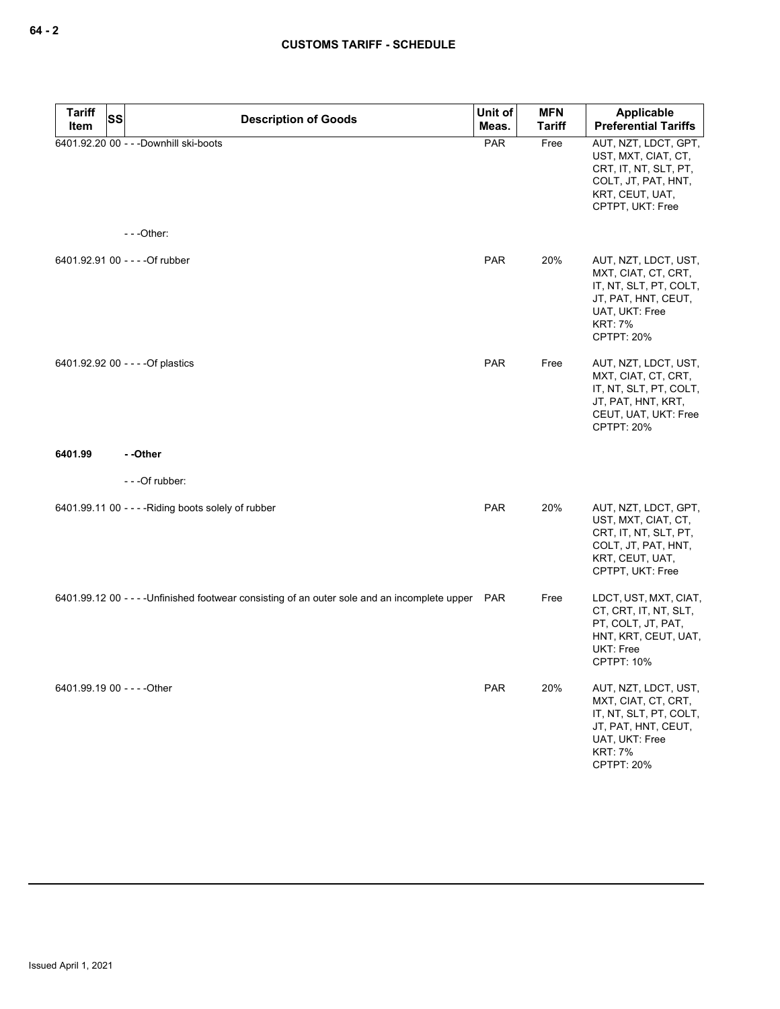| <b>Tariff</b><br>Item       | SS | <b>Description of Goods</b>                                                                       | Unit of<br>Meas. | <b>MFN</b><br><b>Tariff</b> | <b>Applicable</b><br><b>Preferential Tariffs</b>                                                                                                      |
|-----------------------------|----|---------------------------------------------------------------------------------------------------|------------------|-----------------------------|-------------------------------------------------------------------------------------------------------------------------------------------------------|
|                             |    | 6401.92.20 00 - - - Downhill ski-boots                                                            | PAR              | Free                        | AUT, NZT, LDCT, GPT,<br>UST, MXT, CIAT, CT,<br>CRT, IT, NT, SLT, PT,<br>COLT, JT, PAT, HNT,<br>KRT, CEUT, UAT,<br>CPTPT, UKT: Free                    |
|                             |    | $--$ Other:                                                                                       |                  |                             |                                                                                                                                                       |
|                             |    | 6401.92.91 00 - - - - Of rubber                                                                   | <b>PAR</b>       | 20%                         | AUT, NZT, LDCT, UST,<br>MXT, CIAT, CT, CRT,<br>IT, NT, SLT, PT, COLT,<br>JT, PAT, HNT, CEUT,<br>UAT, UKT: Free<br><b>KRT: 7%</b><br><b>CPTPT: 20%</b> |
|                             |    | 6401.92.92 00 - - - - Of plastics                                                                 | <b>PAR</b>       | Free                        | AUT, NZT, LDCT, UST,<br>MXT, CIAT, CT, CRT,<br>IT, NT, SLT, PT, COLT,<br>JT, PAT, HNT, KRT,<br>CEUT, UAT, UKT: Free<br><b>CPTPT: 20%</b>              |
| 6401.99                     |    | - -Other                                                                                          |                  |                             |                                                                                                                                                       |
|                             |    | ---Of rubber:                                                                                     |                  |                             |                                                                                                                                                       |
|                             |    | 6401.99.11 00 - - - - Riding boots solely of rubber                                               | <b>PAR</b>       | 20%                         | AUT, NZT, LDCT, GPT,<br>UST, MXT, CIAT, CT,<br>CRT, IT, NT, SLT, PT,<br>COLT, JT, PAT, HNT,<br>KRT, CEUT, UAT,<br>CPTPT, UKT: Free                    |
|                             |    | 6401.99.12 00 - - - - Unfinished footwear consisting of an outer sole and an incomplete upper PAR |                  | Free                        | LDCT, UST, MXT, CIAT,<br>CT, CRT, IT, NT, SLT,<br>PT, COLT, JT, PAT,<br>HNT, KRT, CEUT, UAT,<br>UKT: Free<br><b>CPTPT: 10%</b>                        |
| 6401.99.19 00 - - - - Other |    |                                                                                                   | <b>PAR</b>       | 20%                         | AUT, NZT, LDCT, UST,<br>MXT, CIAT, CT, CRT,<br>IT, NT, SLT, PT, COLT,<br>JT, PAT, HNT, CEUT,<br>UAT, UKT: Free<br><b>KRT: 7%</b><br><b>CPTPT: 20%</b> |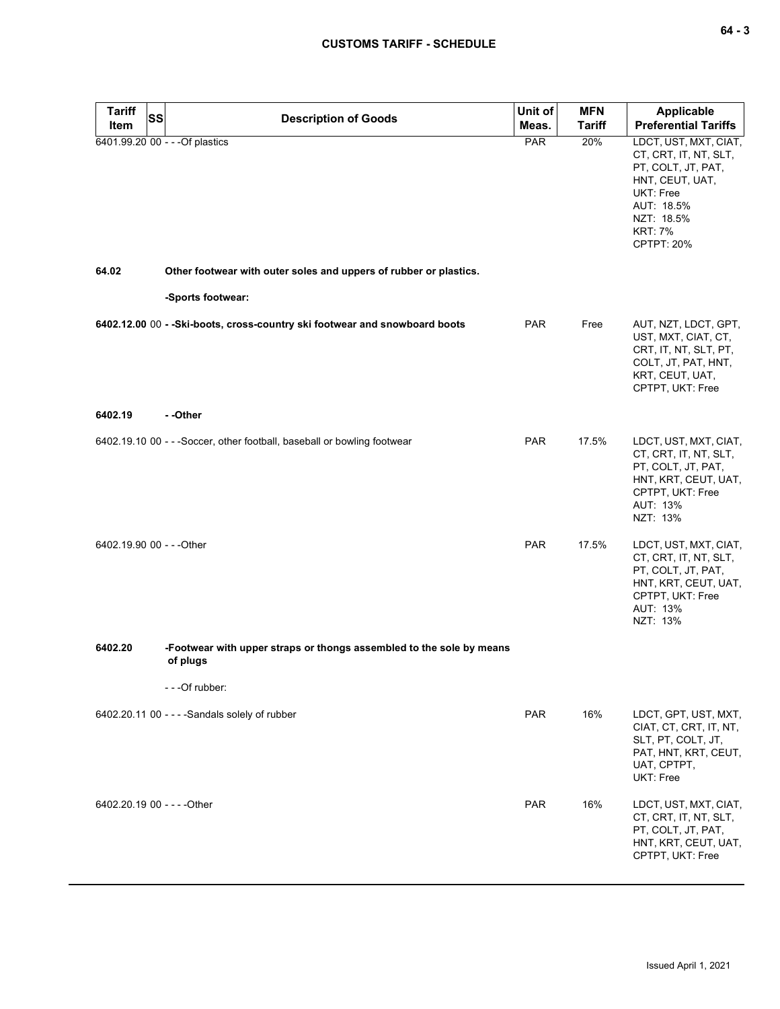| <b>Tariff</b><br>Item       | <b>SS</b> | <b>Description of Goods</b>                                                      | Unit of<br>Meas. | <b>MFN</b><br><b>Tariff</b> | <b>Applicable</b><br><b>Preferential Tariffs</b>                                                                                                                 |
|-----------------------------|-----------|----------------------------------------------------------------------------------|------------------|-----------------------------|------------------------------------------------------------------------------------------------------------------------------------------------------------------|
|                             |           | 6401.99.20 00 - - - Of plastics                                                  | PAR              | 20%                         | LDCT, UST, MXT, CIAT,<br>CT, CRT, IT, NT, SLT,<br>PT, COLT, JT, PAT,<br>HNT, CEUT, UAT,<br>UKT: Free<br>AUT: 18.5%<br>NZT: 18.5%<br><b>KRT: 7%</b><br>CPTPT: 20% |
| 64.02                       |           | Other footwear with outer soles and uppers of rubber or plastics.                |                  |                             |                                                                                                                                                                  |
|                             |           | -Sports footwear:                                                                |                  |                             |                                                                                                                                                                  |
|                             |           | 6402.12.00 00 - - Ski-boots, cross-country ski footwear and snowboard boots      | <b>PAR</b>       | Free                        | AUT, NZT, LDCT, GPT,<br>UST, MXT, CIAT, CT,<br>CRT, IT, NT, SLT, PT,<br>COLT, JT, PAT, HNT,<br>KRT, CEUT, UAT,<br>CPTPT, UKT: Free                               |
| 6402.19                     |           | - -Other                                                                         |                  |                             |                                                                                                                                                                  |
|                             |           | 6402.19.10 00 - - - Soccer, other football, baseball or bowling footwear         | <b>PAR</b>       | 17.5%                       | LDCT, UST, MXT, CIAT,<br>CT, CRT, IT, NT, SLT,<br>PT, COLT, JT, PAT,<br>HNT, KRT, CEUT, UAT,<br>CPTPT, UKT: Free<br>AUT: 13%<br>NZT: 13%                         |
| 6402.19.90 00 - - - Other   |           |                                                                                  | <b>PAR</b>       | 17.5%                       | LDCT, UST, MXT, CIAT,<br>CT, CRT, IT, NT, SLT,<br>PT, COLT, JT, PAT,<br>HNT, KRT, CEUT, UAT,<br>CPTPT, UKT: Free<br>AUT: 13%<br>NZT: 13%                         |
| 6402.20                     |           | -Footwear with upper straps or thongs assembled to the sole by means<br>of plugs |                  |                             |                                                                                                                                                                  |
|                             |           | - - - Of rubber:                                                                 |                  |                             |                                                                                                                                                                  |
|                             |           | 6402.20.11 00 - - - - Sandals solely of rubber                                   | <b>PAR</b>       | 16%                         | LDCT, GPT, UST, MXT,<br>CIAT, CT, CRT, IT, NT,<br>SLT, PT, COLT, JT,<br>PAT, HNT, KRT, CEUT,<br>UAT, CPTPT,<br>UKT: Free                                         |
| 6402.20.19 00 - - - - Other |           |                                                                                  | <b>PAR</b>       | 16%                         | LDCT, UST, MXT, CIAT,<br>CT, CRT, IT, NT, SLT,<br>PT, COLT, JT, PAT,<br>HNT, KRT, CEUT, UAT,<br>CPTPT, UKT: Free                                                 |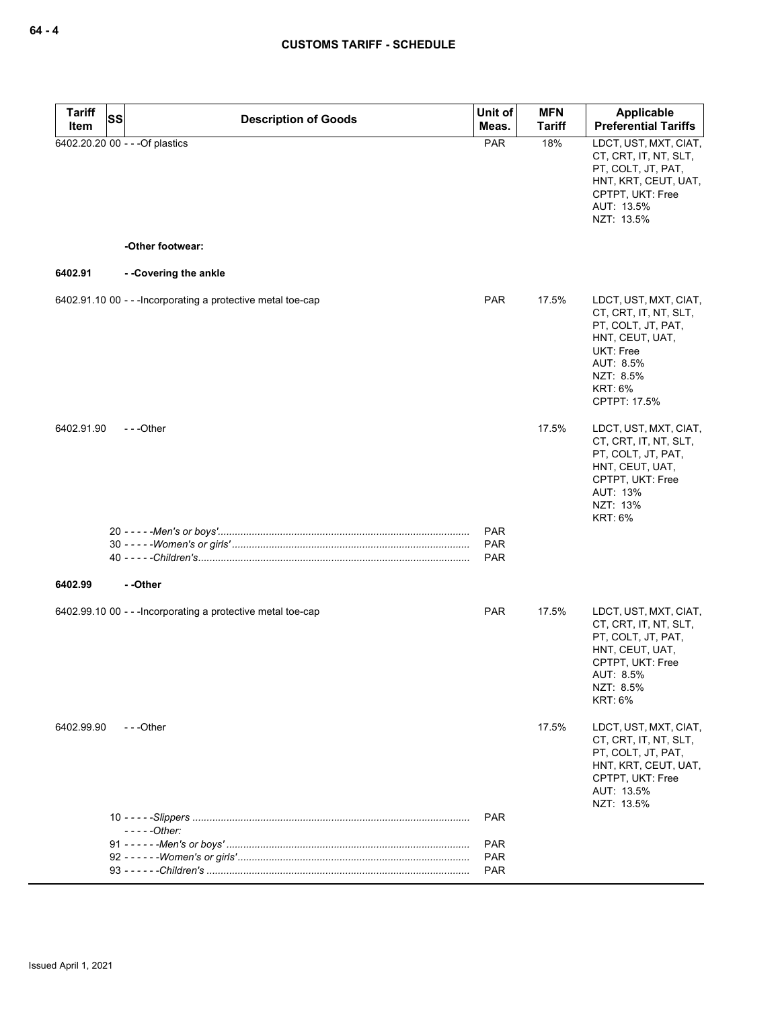| <b>Tariff</b><br>Item | <b>SS</b><br><b>Description of Goods</b>                     | Unit of<br>Meas.                | <b>MFN</b><br><b>Tariff</b> | Applicable<br><b>Preferential Tariffs</b>                                                                                                                        |
|-----------------------|--------------------------------------------------------------|---------------------------------|-----------------------------|------------------------------------------------------------------------------------------------------------------------------------------------------------------|
|                       | 6402.20.20 00 - - - Of plastics                              | PAR                             | 18%                         | LDCT, UST, MXT, CIAT,<br>CT, CRT, IT, NT, SLT,<br>PT, COLT, JT, PAT,<br>HNT, KRT, CEUT, UAT,<br>CPTPT, UKT: Free<br>AUT: 13.5%<br>NZT: 13.5%                     |
|                       | -Other footwear:                                             |                                 |                             |                                                                                                                                                                  |
| 6402.91               | - - Covering the ankle                                       |                                 |                             |                                                                                                                                                                  |
|                       | 6402.91.10 00 - - - Incorporating a protective metal toe-cap | <b>PAR</b>                      | 17.5%                       | LDCT, UST, MXT, CIAT,<br>CT, CRT, IT, NT, SLT,<br>PT, COLT, JT, PAT,<br>HNT, CEUT, UAT,<br>UKT: Free<br>AUT: 8.5%<br>NZT: 8.5%<br><b>KRT: 6%</b><br>CPTPT: 17.5% |
| 6402.91.90            | $- -$ Other                                                  |                                 | 17.5%                       | LDCT, UST, MXT, CIAT,<br>CT, CRT, IT, NT, SLT,<br>PT, COLT, JT, PAT,<br>HNT, CEUT, UAT,<br>CPTPT, UKT: Free<br>AUT: 13%<br>NZT: 13%<br><b>KRT: 6%</b>            |
|                       |                                                              | <b>PAR</b><br><b>PAR</b><br>PAR |                             |                                                                                                                                                                  |
| 6402.99               | - -Other                                                     |                                 |                             |                                                                                                                                                                  |
|                       | 6402.99.10 00 - - - Incorporating a protective metal toe-cap | <b>PAR</b>                      | 17.5%                       | LDCT, UST, MXT, CIAT,<br>CT, CRT, IT, NT, SLT,<br>PT, COLT, JT, PAT,<br>HNT, CEUT, UAT,<br>CPTPT, UKT: Free<br>AUI: 8.5%<br>NZT: 8.5%<br><b>KRT: 6%</b>          |
| 6402.99.90            | ---Other                                                     |                                 | 17.5%                       | LDCT, UST, MXT, CIAT,<br>CT, CRT, IT, NT, SLT,<br>PT, COLT, JT, PAT,<br>HNT, KRT, CEUT, UAT,<br>CPTPT, UKT: Free<br>AUT: 13.5%<br>NZT: 13.5%                     |
|                       | $---Other:$                                                  | <b>PAR</b>                      |                             |                                                                                                                                                                  |
|                       |                                                              | <b>PAR</b>                      |                             |                                                                                                                                                                  |
|                       |                                                              | <b>PAR</b><br><b>PAR</b>        |                             |                                                                                                                                                                  |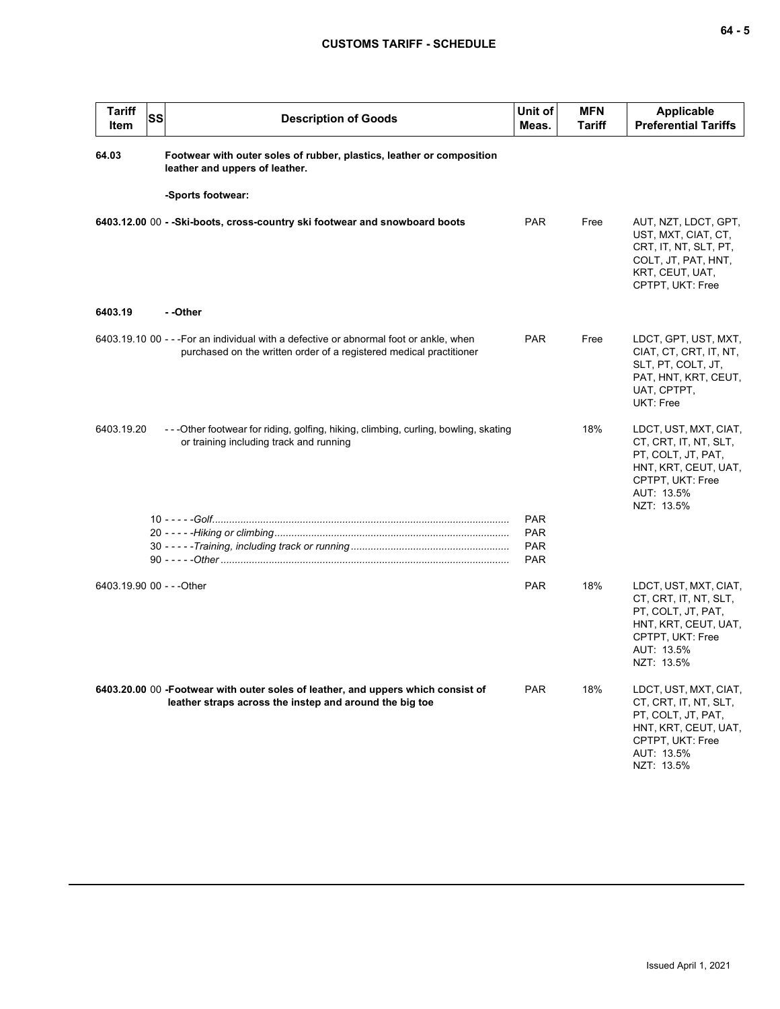| <b>Tariff</b><br><b>Item</b> | SS | <b>Description of Goods</b>                                                                                                                                   | Unit of<br>Meas.                       | <b>MFN</b><br>Tariff | <b>Applicable</b><br><b>Preferential Tariffs</b>                                                                                             |
|------------------------------|----|---------------------------------------------------------------------------------------------------------------------------------------------------------------|----------------------------------------|----------------------|----------------------------------------------------------------------------------------------------------------------------------------------|
| 64.03                        |    | Footwear with outer soles of rubber, plastics, leather or composition<br>leather and uppers of leather.                                                       |                                        |                      |                                                                                                                                              |
|                              |    | -Sports footwear:                                                                                                                                             |                                        |                      |                                                                                                                                              |
|                              |    | 6403.12.00 00 - - Ski-boots, cross-country ski footwear and snowboard boots                                                                                   | <b>PAR</b>                             | Free                 | AUT, NZT, LDCT, GPT,<br>UST, MXT, CIAT, CT,<br>CRT, IT, NT, SLT, PT,<br>COLT, JT, PAT, HNT,<br>KRT, CEUT, UAT,<br>CPTPT, UKT: Free           |
| 6403.19                      |    | - -Other                                                                                                                                                      |                                        |                      |                                                                                                                                              |
|                              |    | 6403.19.10 00 - - - For an individual with a defective or abnormal foot or ankle, when<br>purchased on the written order of a registered medical practitioner | <b>PAR</b>                             | Free                 | LDCT, GPT, UST, MXT,<br>CIAT, CT, CRT, IT, NT,<br>SLT, PT, COLT, JT,<br>PAT, HNT, KRT, CEUT,<br>UAT, CPTPT,<br>UKT: Free                     |
| 6403.19.20                   |    | --Other footwear for riding, golfing, hiking, climbing, curling, bowling, skating<br>or training including track and running                                  |                                        | 18%                  | LDCT, UST, MXT, CIAT,<br>CT, CRT, IT, NT, SLT,<br>PT, COLT, JT, PAT,<br>HNT, KRT, CEUT, UAT,<br>CPTPT, UKT: Free<br>AUT: 13.5%<br>NZT: 13.5% |
|                              |    |                                                                                                                                                               | <b>PAR</b>                             |                      |                                                                                                                                              |
|                              |    |                                                                                                                                                               | <b>PAR</b><br><b>PAR</b><br><b>PAR</b> |                      |                                                                                                                                              |
| 6403.19.90 00 - - - Other    |    |                                                                                                                                                               | <b>PAR</b>                             | 18%                  | LDCT, UST, MXT, CIAT,<br>CT, CRT, IT, NT, SLT,<br>PT, COLT, JT, PAT,<br>HNT, KRT, CEUT, UAT,<br>CPTPT, UKT: Free<br>AUT: 13.5%<br>NZT: 13.5% |
|                              |    | 6403.20.00 00 -Footwear with outer soles of leather, and uppers which consist of<br>leather straps across the instep and around the big toe                   | <b>PAR</b>                             | 18%                  | LDCT, UST, MXT, CIAT,<br>CT, CRT, IT, NT, SLT,<br>PT, COLT, JT, PAT,<br>HNT, KRT, CEUT, UAT,<br>CPTPT, UKT: Free<br>AUT: 13.5%<br>NZT: 13.5% |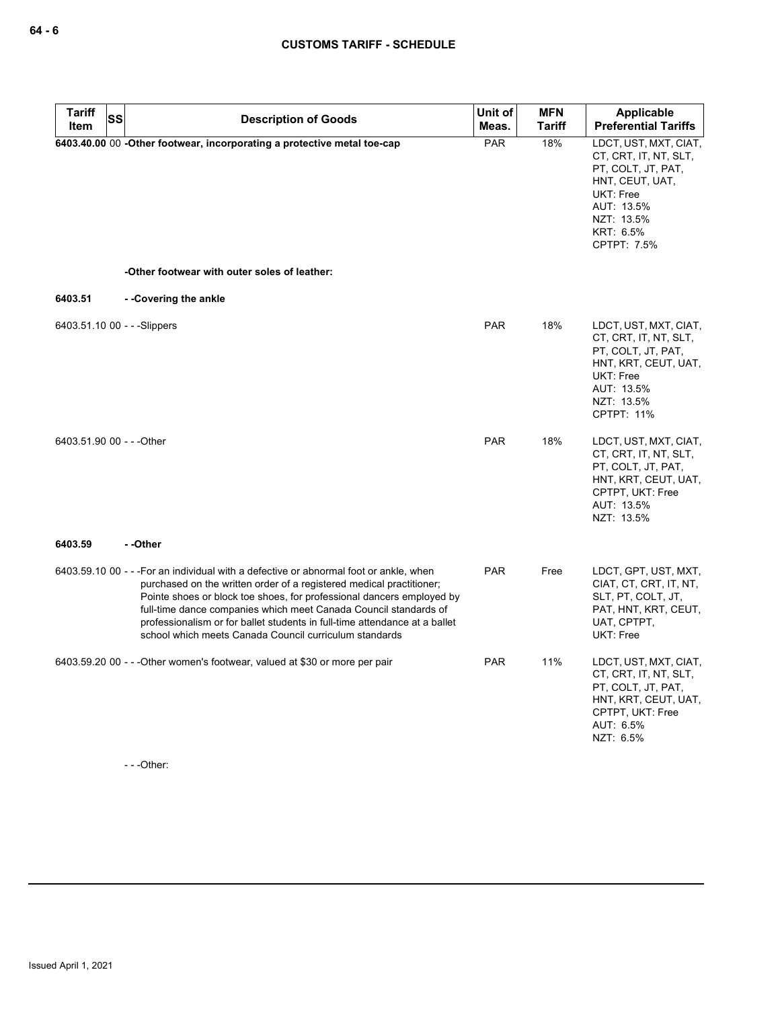| <b>Tariff</b><br><b>Item</b> | SS | <b>Description of Goods</b>                                                                                                                                                                                                                                                                                                                                                                                                                         | Unit of<br>Meas. | <b>MFN</b><br><b>Tariff</b> | <b>Applicable</b><br><b>Preferential Tariffs</b>                                                                                                             |
|------------------------------|----|-----------------------------------------------------------------------------------------------------------------------------------------------------------------------------------------------------------------------------------------------------------------------------------------------------------------------------------------------------------------------------------------------------------------------------------------------------|------------------|-----------------------------|--------------------------------------------------------------------------------------------------------------------------------------------------------------|
|                              |    | 6403.40.00 00 -Other footwear, incorporating a protective metal toe-cap                                                                                                                                                                                                                                                                                                                                                                             | <b>PAR</b>       | 18%                         | LDCT, UST, MXT, CIAT,<br>CT, CRT, IT, NT, SLT,<br>PT, COLT, JT, PAT,<br>HNT, CEUT, UAT,<br>UKT: Free<br>AUT: 13.5%<br>NZT: 13.5%<br>KRT: 6.5%<br>CPTPT: 7.5% |
|                              |    | -Other footwear with outer soles of leather:                                                                                                                                                                                                                                                                                                                                                                                                        |                  |                             |                                                                                                                                                              |
| 6403.51                      |    | --Covering the ankle                                                                                                                                                                                                                                                                                                                                                                                                                                |                  |                             |                                                                                                                                                              |
| 6403.51.10 00 - - - Slippers |    |                                                                                                                                                                                                                                                                                                                                                                                                                                                     | <b>PAR</b>       | 18%                         | LDCT, UST, MXT, CIAT,<br>CT, CRT, IT, NT, SLT,<br>PT, COLT, JT, PAT,<br>HNT, KRT, CEUT, UAT,<br>UKT: Free<br>AUT: 13.5%<br>NZT: 13.5%<br><b>CPTPT: 11%</b>   |
| 6403.51.90 00 - - - Other    |    |                                                                                                                                                                                                                                                                                                                                                                                                                                                     | <b>PAR</b>       | 18%                         | LDCT, UST, MXT, CIAT,<br>CT, CRT, IT, NT, SLT,<br>PT, COLT, JT, PAT,<br>HNT, KRT, CEUT, UAT,<br>CPTPT, UKT: Free<br>AUT: 13.5%<br>NZT: 13.5%                 |
| 6403.59                      |    | - -Other                                                                                                                                                                                                                                                                                                                                                                                                                                            |                  |                             |                                                                                                                                                              |
|                              |    | 6403.59.10 00 - - - For an individual with a defective or abnormal foot or ankle, when<br>purchased on the written order of a registered medical practitioner;<br>Pointe shoes or block toe shoes, for professional dancers employed by<br>full-time dance companies which meet Canada Council standards of<br>professionalism or for ballet students in full-time attendance at a ballet<br>school which meets Canada Council curriculum standards | <b>PAR</b>       | Free                        | LDCT, GPT, UST, MXT,<br>CIAT, CT, CRT, IT, NT,<br>SLT, PT, COLT, JT,<br>PAT, HNT, KRT, CEUT,<br>UAT, CPTPT,<br>UKT: Free                                     |
|                              |    | 6403.59.20 00 - - - Other women's footwear, valued at \$30 or more per pair                                                                                                                                                                                                                                                                                                                                                                         | <b>PAR</b>       | 11%                         | LDCT, UST, MXT, CIAT,<br>CT, CRT, IT, NT, SLT,<br>PT, COLT, JT, PAT,<br>HNT, KRT, CEUT, UAT,<br>CPTPT, UKT: Free<br>AUT: 6.5%<br>NZT: 6.5%                   |

- - -Other: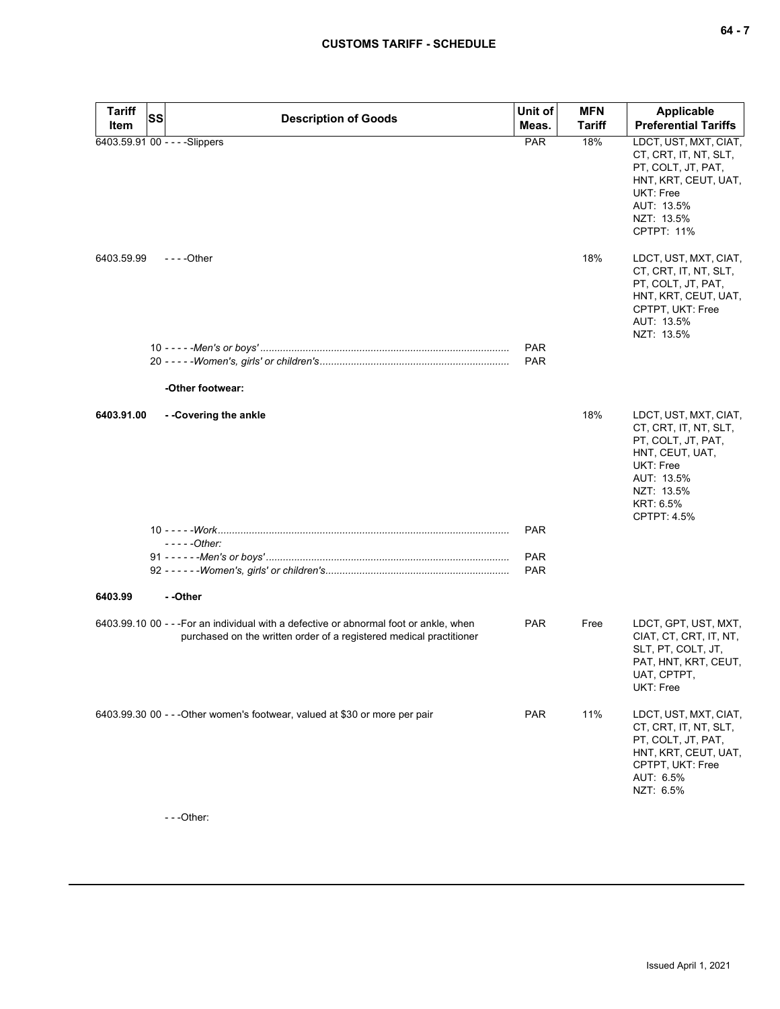| <b>Tariff</b> | SS | <b>Description of Goods</b>                                                                                                                                   | Unit of                                | <b>MFN</b>    | <b>Applicable</b>                                                                                                                                                   |
|---------------|----|---------------------------------------------------------------------------------------------------------------------------------------------------------------|----------------------------------------|---------------|---------------------------------------------------------------------------------------------------------------------------------------------------------------------|
| Item          |    |                                                                                                                                                               | Meas.                                  | <b>Tariff</b> | <b>Preferential Tariffs</b>                                                                                                                                         |
|               |    | 6403.59.91 00 - - - - Slippers                                                                                                                                | <b>PAR</b>                             | 18%           | LDCT, UST, MXT, CIAT,<br>CT, CRT, IT, NT, SLT,<br>PT, COLT, JT, PAT,<br>HNT, KRT, CEUT, UAT,<br>UKT: Free<br>AUT: 13.5%<br>NZT: 13.5%<br><b>CPTPT: 11%</b>          |
| 6403.59.99    |    | $- - -$ Other                                                                                                                                                 | <b>PAR</b><br><b>PAR</b>               | 18%           | LDCT, UST, MXT, CIAT,<br>CT, CRT, IT, NT, SLT,<br>PT, COLT, JT, PAT,<br>HNT, KRT, CEUT, UAT,<br>CPTPT, UKT: Free<br>AUT: 13.5%<br>NZT: 13.5%                        |
|               |    | -Other footwear:                                                                                                                                              |                                        |               |                                                                                                                                                                     |
| 6403.91.00    |    | --Covering the ankle<br>$---Other:$                                                                                                                           | <b>PAR</b><br><b>PAR</b><br><b>PAR</b> | 18%           | LDCT, UST, MXT, CIAT,<br>CT, CRT, IT, NT, SLT,<br>PT, COLT, JT, PAT,<br>HNT, CEUT, UAT,<br>UKT: Free<br>AUT: 13.5%<br>NZT: 13.5%<br>KRT: 6.5%<br><b>CPTPT: 4.5%</b> |
| 6403.99       |    | - -Other                                                                                                                                                      |                                        |               |                                                                                                                                                                     |
|               |    | 6403.99.10 00 - - - For an individual with a defective or abnormal foot or ankle, when<br>purchased on the written order of a registered medical practitioner | <b>PAR</b>                             | Free          | LDCT, GPT, UST, MXT,<br>CIAT, CT, CRT, IT, NT,<br>SLT, PT, COLT, JT,<br>PAT, HNT, KRT, CEUT,<br>UAT, CPTPT,<br>UKT: Free                                            |
|               |    | 6403.99.30 00 - - - Other women's footwear, valued at \$30 or more per pair                                                                                   | <b>PAR</b>                             | 11%           | LDCT, UST, MXT, CIAT,<br>CT, CRT, IT, NT, SLT,<br>PT, COLT, JT, PAT,<br>HNT, KRT, CEUT, UAT,<br>CPTPT, UKT: Free<br>AUT: 6.5%<br>NZT: 6.5%                          |

- - -Other: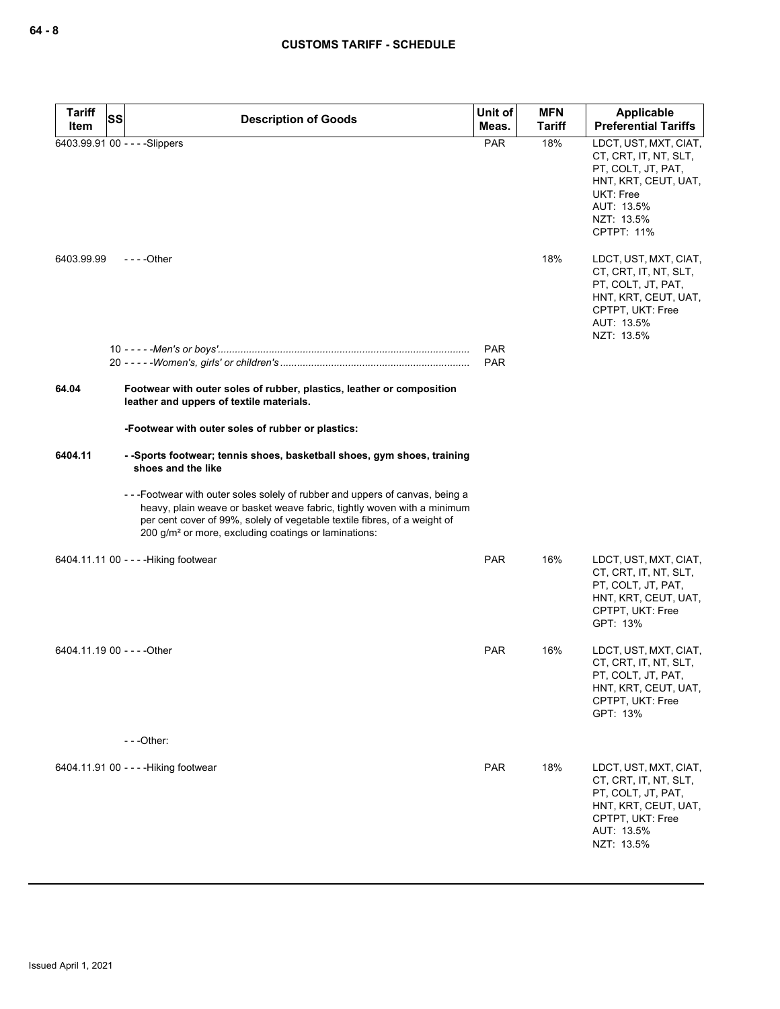| <b>Tariff</b>               | SS<br><b>Description of Goods</b>                                                                                                                                                                                                                                                                       | Unit of    | <b>MFN</b>    | Applicable                                                                                                                                                        |
|-----------------------------|---------------------------------------------------------------------------------------------------------------------------------------------------------------------------------------------------------------------------------------------------------------------------------------------------------|------------|---------------|-------------------------------------------------------------------------------------------------------------------------------------------------------------------|
| Item                        |                                                                                                                                                                                                                                                                                                         | Meas.      | <b>Tariff</b> | <b>Preferential Tariffs</b>                                                                                                                                       |
|                             | 6403.99.91 00 - - - - Slippers                                                                                                                                                                                                                                                                          | <b>PAR</b> | 18%           | LDCT, UST, MXT, CIAT,<br>CT, CRT, IT, NT, SLT,<br>PT, COLT, JT, PAT,<br>HNT, KRT, CEUT, UAT,<br><b>UKT: Free</b><br>AUT: 13.5%<br>NZT: 13.5%<br><b>CPTPT: 11%</b> |
| 6403.99.99                  | - - - - Other                                                                                                                                                                                                                                                                                           |            | 18%           | LDCT, UST, MXT, CIAT,<br>CT, CRT, IT, NT, SLT,<br>PT, COLT, JT, PAT,<br>HNT, KRT, CEUT, UAT,<br>CPTPT, UKT: Free<br>AUT: 13.5%<br>NZT: 13.5%                      |
|                             |                                                                                                                                                                                                                                                                                                         | <b>PAR</b> |               |                                                                                                                                                                   |
|                             |                                                                                                                                                                                                                                                                                                         | <b>PAR</b> |               |                                                                                                                                                                   |
| 64.04                       | Footwear with outer soles of rubber, plastics, leather or composition<br>leather and uppers of textile materials.                                                                                                                                                                                       |            |               |                                                                                                                                                                   |
|                             | -Footwear with outer soles of rubber or plastics:                                                                                                                                                                                                                                                       |            |               |                                                                                                                                                                   |
| 6404.11                     | --Sports footwear; tennis shoes, basketball shoes, gym shoes, training<br>shoes and the like                                                                                                                                                                                                            |            |               |                                                                                                                                                                   |
|                             | ---Footwear with outer soles solely of rubber and uppers of canvas, being a<br>heavy, plain weave or basket weave fabric, tightly woven with a minimum<br>per cent cover of 99%, solely of vegetable textile fibres, of a weight of<br>200 g/m <sup>2</sup> or more, excluding coatings or laminations: |            |               |                                                                                                                                                                   |
|                             | 6404.11.11 00 - - - - Hiking footwear                                                                                                                                                                                                                                                                   | <b>PAR</b> | 16%           | LDCT, UST, MXT, CIAT,<br>CT, CRT, IT, NT, SLT,<br>PT, COLT, JT, PAT,<br>HNT, KRT, CEUT, UAT,<br>CPTPT, UKT: Free<br>GPT: 13%                                      |
| 6404.11.19 00 - - - - Other |                                                                                                                                                                                                                                                                                                         | <b>PAR</b> | 16%           | LDCT, UST, MXT, CIAT,<br>CT, CRT, IT, NT, SLT,<br>PT, COLT, JT, PAT,<br>HNT, KRT, CEUT, UAT,<br>CPTPT, UKT: Free<br>GPT: 13%                                      |
|                             | ---Other:                                                                                                                                                                                                                                                                                               |            |               |                                                                                                                                                                   |
|                             | 6404.11.91 00 - - - - Hiking footwear                                                                                                                                                                                                                                                                   | <b>PAR</b> | 18%           | LDCT, UST, MXT, CIAT,<br>CT, CRT, IT, NT, SLT,<br>PT, COLT, JT, PAT,<br>HNT, KRT, CEUT, UAT,<br>CPTPT, UKT: Free<br>AUT: 13.5%<br>NZT: 13.5%                      |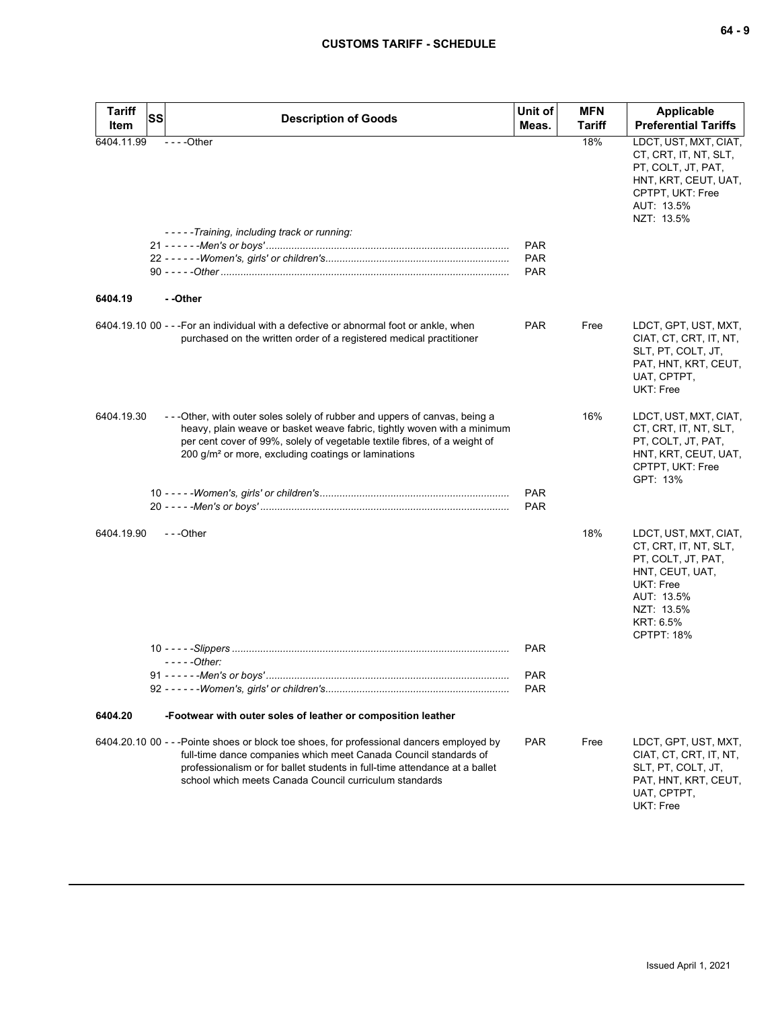| <b>Tariff</b><br>Item | <b>SS</b><br><b>Description of Goods</b>                                                                                                                                                                                                                                                                | Unit of<br>Meas.         | <b>MFN</b><br><b>Tariff</b> | <b>Applicable</b><br><b>Preferential Tariffs</b>                                                                                                                   |
|-----------------------|---------------------------------------------------------------------------------------------------------------------------------------------------------------------------------------------------------------------------------------------------------------------------------------------------------|--------------------------|-----------------------------|--------------------------------------------------------------------------------------------------------------------------------------------------------------------|
| 6404.11.99            | $--$ Other                                                                                                                                                                                                                                                                                              |                          | 18%                         | LDCT, UST, MXT, CIAT,<br>CT, CRT, IT, NT, SLT,<br>PT, COLT, JT, PAT,<br>HNT, KRT, CEUT, UAT,<br>CPTPT, UKT: Free<br>AUT: 13.5%<br>NZT: 13.5%                       |
|                       | -----Training, including track or running:                                                                                                                                                                                                                                                              | <b>PAR</b>               |                             |                                                                                                                                                                    |
|                       |                                                                                                                                                                                                                                                                                                         | PAR                      |                             |                                                                                                                                                                    |
|                       |                                                                                                                                                                                                                                                                                                         | <b>PAR</b>               |                             |                                                                                                                                                                    |
| 6404.19               | - -Other                                                                                                                                                                                                                                                                                                |                          |                             |                                                                                                                                                                    |
|                       | 6404.19.10 00 - - - For an individual with a defective or abnormal foot or ankle, when<br>purchased on the written order of a registered medical practitioner                                                                                                                                           | <b>PAR</b>               | Free                        | LDCT, GPT, UST, MXT,<br>CIAT, CT, CRT, IT, NT,<br>SLT, PT, COLT, JT,<br>PAT, HNT, KRT, CEUT,<br>UAT, CPTPT,<br>UKT: Free                                           |
| 6404.19.30            | - - - Other, with outer soles solely of rubber and uppers of canvas, being a<br>heavy, plain weave or basket weave fabric, tightly woven with a minimum<br>per cent cover of 99%, solely of vegetable textile fibres, of a weight of<br>200 g/m <sup>2</sup> or more, excluding coatings or laminations |                          | 16%                         | LDCT, UST, MXT, CIAT,<br>CT, CRT, IT, NT, SLT,<br>PT, COLT, JT, PAT,<br>HNT, KRT, CEUT, UAT,<br>CPTPT, UKT: Free<br>GPT: 13%                                       |
|                       |                                                                                                                                                                                                                                                                                                         | <b>PAR</b><br><b>PAR</b> |                             |                                                                                                                                                                    |
| 6404.19.90            | ---Other                                                                                                                                                                                                                                                                                                |                          | 18%                         | LDCT, UST, MXT, CIAT,<br>CT, CRT, IT, NT, SLT,<br>PT, COLT, JT, PAT,<br>HNT, CEUT, UAT,<br>UKT: Free<br>AUT: 13.5%<br>NZT: 13.5%<br>KRT: 6.5%<br><b>CPTPT: 18%</b> |
|                       |                                                                                                                                                                                                                                                                                                         | <b>PAR</b>               |                             |                                                                                                                                                                    |
|                       | $---Other$                                                                                                                                                                                                                                                                                              | PAR                      |                             |                                                                                                                                                                    |
|                       |                                                                                                                                                                                                                                                                                                         | <b>PAR</b>               |                             |                                                                                                                                                                    |
| 6404.20               | -Footwear with outer soles of leather or composition leather                                                                                                                                                                                                                                            |                          |                             |                                                                                                                                                                    |
|                       | 6404.20.10 00 - - -Pointe shoes or block toe shoes, for professional dancers employed by<br>full-time dance companies which meet Canada Council standards of<br>professionalism or for ballet students in full-time attendance at a ballet<br>school which meets Canada Council curriculum standards    | <b>PAR</b>               | Free                        | LDCT, GPT, UST, MXT,<br>CIAT, CT, CRT, IT, NT,<br>SLT, PT, COLT, JT,<br>PAT, HNT, KRT, CEUT,<br>UAT, CPTPT,<br>UKT: Free                                           |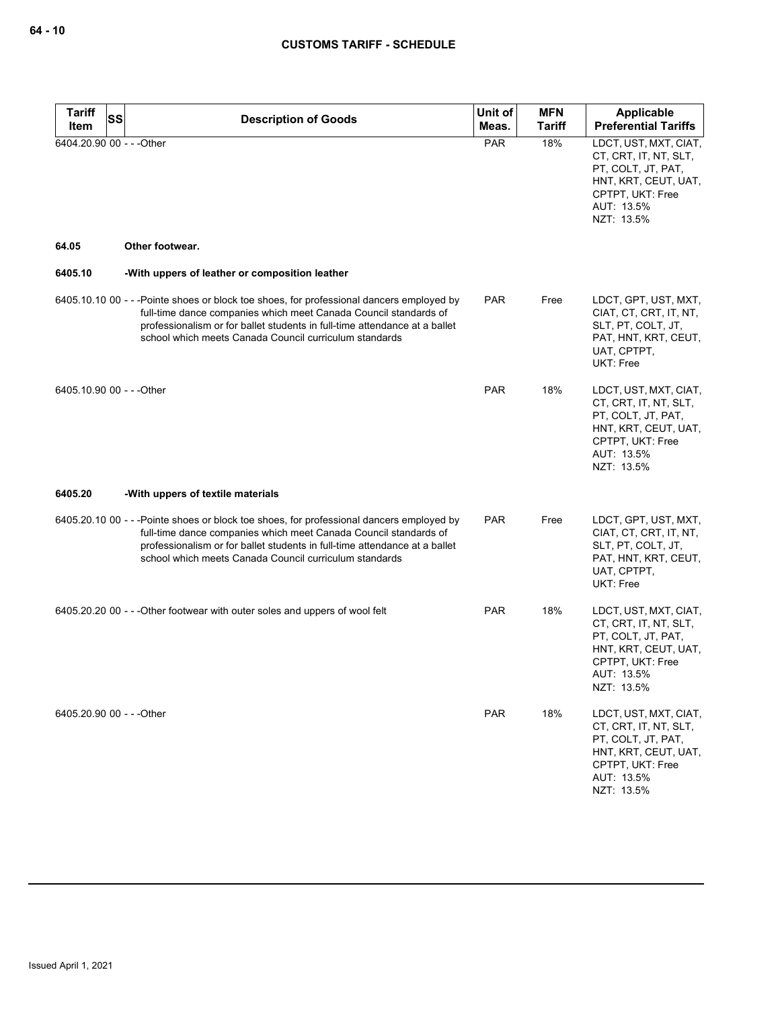| <b>Tariff</b><br><b>SS</b> | <b>Description of Goods</b>                                                                                                                                                                                                                                                                          | Unit of    | <b>MFN</b>    | Applicable                                                                                                                                   |
|----------------------------|------------------------------------------------------------------------------------------------------------------------------------------------------------------------------------------------------------------------------------------------------------------------------------------------------|------------|---------------|----------------------------------------------------------------------------------------------------------------------------------------------|
| Item                       |                                                                                                                                                                                                                                                                                                      | Meas.      | <b>Tariff</b> | <b>Preferential Tariffs</b>                                                                                                                  |
| 6404.20.90 00 - - - Other  |                                                                                                                                                                                                                                                                                                      | <b>PAR</b> | 18%           | LDCT, UST, MXT, CIAT,<br>CT, CRT, IT, NT, SLT,<br>PT, COLT, JT, PAT,<br>HNT, KRT, CEUT, UAT,<br>CPTPT, UKT: Free<br>AUT: 13.5%<br>NZT: 13.5% |
| 64.05                      | Other footwear.                                                                                                                                                                                                                                                                                      |            |               |                                                                                                                                              |
| 6405.10                    | -With uppers of leather or composition leather                                                                                                                                                                                                                                                       |            |               |                                                                                                                                              |
|                            | 6405.10.10 00 - - -Pointe shoes or block toe shoes, for professional dancers employed by<br>full-time dance companies which meet Canada Council standards of<br>professionalism or for ballet students in full-time attendance at a ballet<br>school which meets Canada Council curriculum standards | <b>PAR</b> | Free          | LDCT, GPT, UST, MXT,<br>CIAT, CT, CRT, IT, NT,<br>SLT, PT, COLT, JT,<br>PAT, HNT, KRT, CEUT,<br>UAT, CPTPT,<br>UKT: Free                     |
| 6405.10.90 00 - - - Other  |                                                                                                                                                                                                                                                                                                      | <b>PAR</b> | 18%           | LDCT, UST, MXT, CIAT,<br>CT, CRT, IT, NT, SLT,<br>PT, COLT, JT, PAT,<br>HNT, KRT, CEUT, UAT,<br>CPTPT, UKT: Free<br>AUT: 13.5%<br>NZT: 13.5% |
| 6405.20                    | -With uppers of textile materials                                                                                                                                                                                                                                                                    |            |               |                                                                                                                                              |
|                            | 6405.20.10 00 - - -Pointe shoes or block toe shoes, for professional dancers employed by<br>full-time dance companies which meet Canada Council standards of<br>professionalism or for ballet students in full-time attendance at a ballet<br>school which meets Canada Council curriculum standards | <b>PAR</b> | Free          | LDCT, GPT, UST, MXT,<br>CIAT, CT, CRT, IT, NT,<br>SLT, PT, COLT, JT,<br>PAT, HNT, KRT, CEUT,<br>UAT, CPTPT,<br>UKT: Free                     |
|                            | 6405.20.20 00 - - - Other footwear with outer soles and uppers of wool felt                                                                                                                                                                                                                          | <b>PAR</b> | 18%           | LDCT, UST, MXT, CIAT,<br>CT, CRT, IT, NT, SLT,<br>PT, COLT, JT, PAT,<br>HNT, KRT, CEUT, UAT,<br>CPTPT, UKT: Free<br>AUT: 13.5%<br>NZT: 13.5% |
| 6405.20.90 00 - - - Other  |                                                                                                                                                                                                                                                                                                      | <b>PAR</b> | 18%           | LDCT, UST, MXT, CIAT,<br>CT, CRT, IT, NT, SLT,<br>PT, COLT, JT, PAT,<br>HNT, KRT, CEUT, UAT,<br>CPTPT, UKT: Free<br>AUT: 13.5%<br>NZT: 13.5% |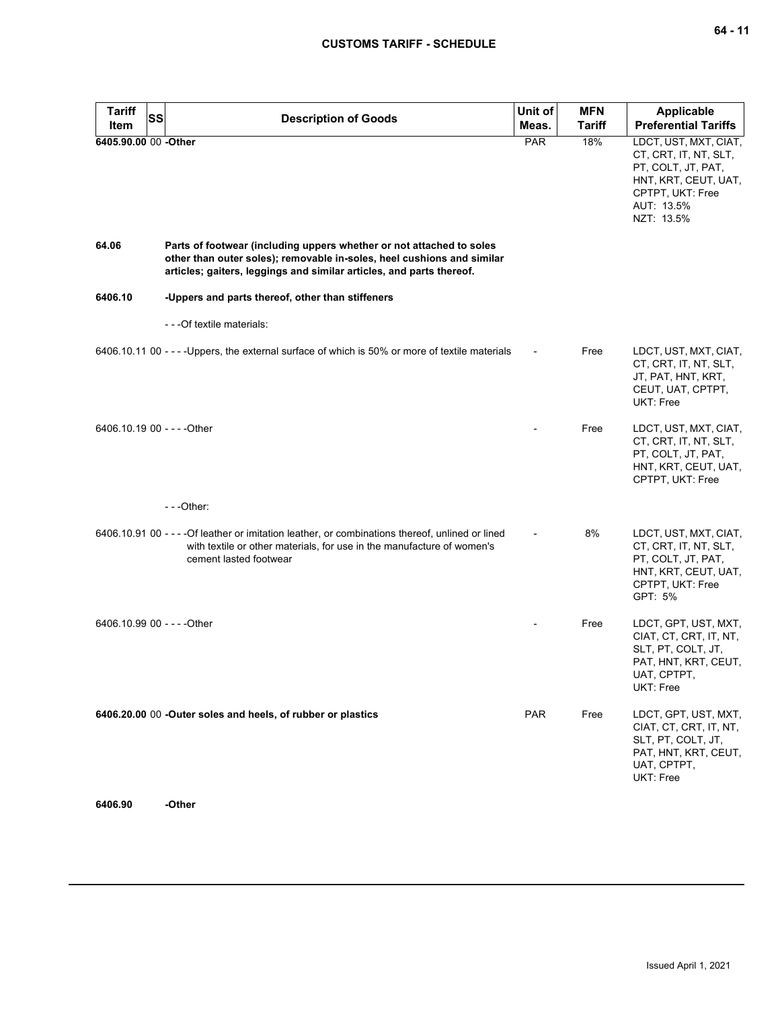| <b>Tariff</b><br>Item       | SS | <b>Description of Goods</b>                                                                                                                                                                                            | Unit of<br>Meas. | <b>MFN</b><br><b>Tariff</b> | <b>Applicable</b><br><b>Preferential Tariffs</b>                                                                                             |
|-----------------------------|----|------------------------------------------------------------------------------------------------------------------------------------------------------------------------------------------------------------------------|------------------|-----------------------------|----------------------------------------------------------------------------------------------------------------------------------------------|
| 6405.90.00 00 -Other        |    |                                                                                                                                                                                                                        | PAR              | 18%                         | LDCT, UST, MXT, CIAT,<br>CT, CRT, IT, NT, SLT,<br>PT, COLT, JT, PAT,<br>HNT, KRT, CEUT, UAT,<br>CPTPT, UKT: Free<br>AUT: 13.5%<br>NZT: 13.5% |
| 64.06                       |    | Parts of footwear (including uppers whether or not attached to soles<br>other than outer soles); removable in-soles, heel cushions and similar<br>articles; gaiters, leggings and similar articles, and parts thereof. |                  |                             |                                                                                                                                              |
| 6406.10                     |    | -Uppers and parts thereof, other than stiffeners                                                                                                                                                                       |                  |                             |                                                                                                                                              |
|                             |    | - - - Of textile materials:                                                                                                                                                                                            |                  |                             |                                                                                                                                              |
|                             |    | 6406.10.11 00 - - - - Uppers, the external surface of which is 50% or more of textile materials                                                                                                                        |                  | Free                        | LDCT, UST, MXT, CIAT,<br>CT, CRT, IT, NT, SLT,<br>JT, PAT, HNT, KRT,<br>CEUT, UAT, CPTPT,<br>UKT: Free                                       |
| 6406.10.19 00 - - - - Other |    |                                                                                                                                                                                                                        |                  | Free                        | LDCT, UST, MXT, CIAT,<br>CT, CRT, IT, NT, SLT,<br>PT, COLT, JT, PAT,<br>HNT, KRT, CEUT, UAT,<br>CPTPT, UKT: Free                             |
|                             |    | $- -$ Other:                                                                                                                                                                                                           |                  |                             |                                                                                                                                              |
|                             |    | 6406.10.91 00 - - - - Of leather or imitation leather, or combinations thereof, unlined or lined<br>with textile or other materials, for use in the manufacture of women's<br>cement lasted footwear                   |                  | 8%                          | LDCT, UST, MXT, CIAT,<br>CT, CRT, IT, NT, SLT,<br>PT, COLT, JT, PAT,<br>HNT, KRT, CEUT, UAT,<br>CPTPT, UKT: Free<br>GPT: 5%                  |
| 6406.10.99 00 - - - - Other |    |                                                                                                                                                                                                                        |                  | Free                        | LDCT, GPT, UST, MXT,<br>CIAT, CT, CRT, IT, NT,<br>SLT, PT, COLT, JT,<br>PAT, HNT, KRT, CEUT,<br>UAT, CPTPT,<br>UKT: Free                     |
|                             |    | 6406.20.00 00 -Outer soles and heels, of rubber or plastics                                                                                                                                                            | <b>PAR</b>       | Free                        | LDCT, GPT, UST, MXT,<br>CIAT, CT, CRT, IT, NT,<br>SLT, PT, COLT, JT,<br>PAT, HNT, KRT, CEUT,<br>UAT, CPTPT,<br>UKT: Free                     |

**6406.90 -Other**